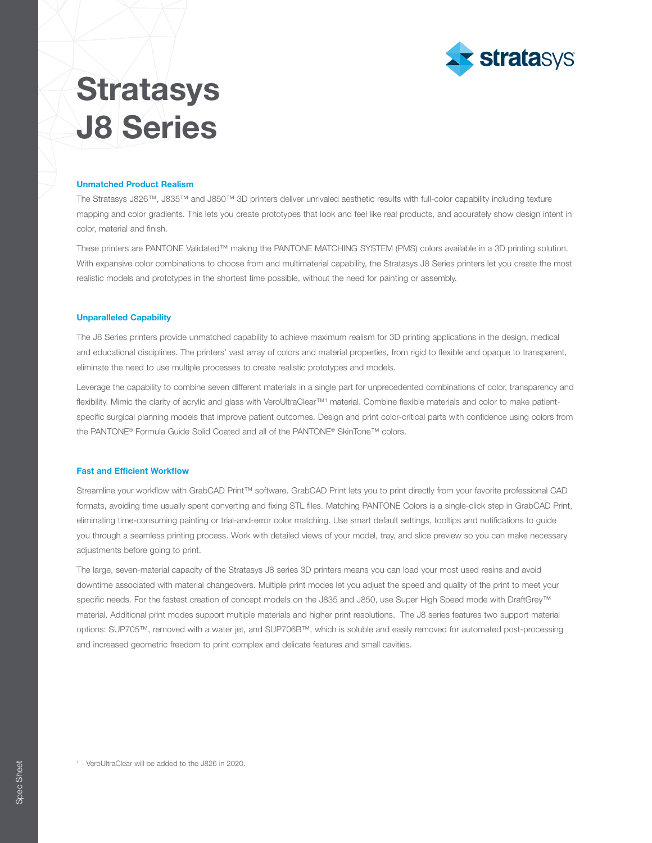

# **Stratasys** J8 Series

#### Unmatched Product Realism

The Stratasys J826™, J835™ and J850™ 3D printers deliver unrivaled aesthetic results with full-color capability including texture mapping and color gradients. This lets you create prototypes that look and feel like real products, and accurately show design intent in color, material and finish.

These printers are PANTONE Validated™ making the PANTONE MATCHING SYSTEM (PMS) colors available in a 3D printing solution. With expansive color combinations to choose from and multimaterial capability, the Stratasys J8 Series printers let you create the most realistic models and prototypes in the shortest time possible, without the need for painting or assembly.

### Unparalleled Capability

The J8 Series printers provide unmatched capability to achieve maximum realism for 3D printing applications in the design, medical and educational disciplines. The printers' vast array of colors and material properties, from rigid to flexible and opaque to transparent, eliminate the need to use multiple processes to create realistic prototypes and models.

Leverage the capability to combine seven different materials in a single part for unprecedented combinations of color, transparency and flexibility. Mimic the clarity of acrylic and glass with VeroUltraClear™ material. Combine flexible materials and color to make patientspecific surgical planning models that improve patient outcomes. Design and print color-critical parts with confidence using colors from the PANTONE® Formula Guide Solid Coated and all of the PANTONE® SkinTone™ colors.

#### Fast and Efficient Workflow

Streamline your workflow with GrabCAD Print™ software. GrabCAD Print lets you to print directly from your favorite professional CAD formats, avoiding time usually spent converting and fixing STL files. Matching PANTONE Colors is a single-click step in GrabCAD Print, eliminating time-consuming painting or trial-and-error color matching. Use smart default settings, tooltips and notifications to guide you through a seamless printing process. Work with detailed views of your model, tray, and slice preview so you can make necessary adjustments before going to print.

The large, seven-material capacity of the Stratasys J8 series 3D printers means you can load your most used resins and avoid downtime associated with material changeovers. Multiple print modes let you adjust the speed and quality of the print to meet your specific needs. For the fastest creation of concept models on the J835 and J850, use Super High Speed mode with DraftGrey™ material. Additional print modes support multiple materials and higher print resolutions. The J8 series features two support material options: SUP705™, removed with a water jet, and SUP706B™, which is soluble and easily removed for automated post-processing and increased geometric freedom to print complex and delicate features and small cavities.